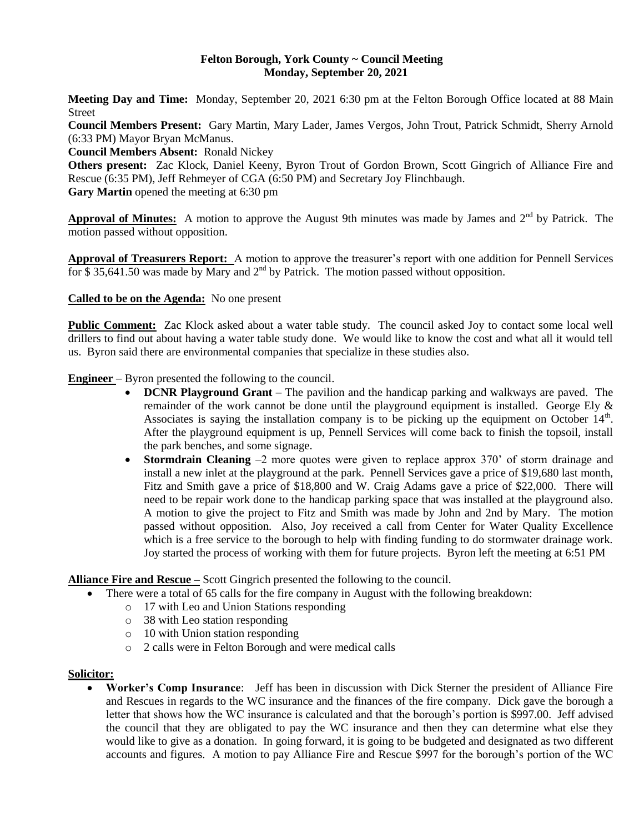### **Felton Borough, York County ~ Council Meeting Monday, September 20, 2021**

**Meeting Day and Time:** Monday, September 20, 2021 6:30 pm at the Felton Borough Office located at 88 Main Street

**Council Members Present:** Gary Martin, Mary Lader, James Vergos, John Trout, Patrick Schmidt, Sherry Arnold (6:33 PM) Mayor Bryan McManus.

**Council Members Absent:** Ronald Nickey

**Others present:** Zac Klock, Daniel Keeny, Byron Trout of Gordon Brown, Scott Gingrich of Alliance Fire and Rescue (6:35 PM), Jeff Rehmeyer of CGA (6:50 PM) and Secretary Joy Flinchbaugh. **Gary Martin** opened the meeting at 6:30 pm

Approval of Minutes: A motion to approve the August 9th minutes was made by James and 2<sup>nd</sup> by Patrick. The motion passed without opposition.

**Approval of Treasurers Report:** A motion to approve the treasurer's report with one addition for Pennell Services for \$35,641.50 was made by Mary and  $2<sup>nd</sup>$  by Patrick. The motion passed without opposition.

**Called to be on the Agenda:** No one present

**Public Comment:** Zac Klock asked about a water table study. The council asked Joy to contact some local well drillers to find out about having a water table study done. We would like to know the cost and what all it would tell us. Byron said there are environmental companies that specialize in these studies also.

**Engineer** – Byron presented the following to the council.

- **DCNR Playground Grant** The pavilion and the handicap parking and walkways are paved. The remainder of the work cannot be done until the playground equipment is installed. George Ely & Associates is saying the installation company is to be picking up the equipment on October  $14<sup>th</sup>$ . After the playground equipment is up, Pennell Services will come back to finish the topsoil, install the park benches, and some signage.
- **Stormdrain Cleaning** –2 more quotes were given to replace approx 370' of storm drainage and install a new inlet at the playground at the park. Pennell Services gave a price of \$19,680 last month, Fitz and Smith gave a price of \$18,800 and W. Craig Adams gave a price of \$22,000. There will need to be repair work done to the handicap parking space that was installed at the playground also. A motion to give the project to Fitz and Smith was made by John and 2nd by Mary. The motion passed without opposition. Also, Joy received a call from Center for Water Quality Excellence which is a free service to the borough to help with finding funding to do stormwater drainage work. Joy started the process of working with them for future projects. Byron left the meeting at 6:51 PM

**Alliance Fire and Rescue –** Scott Gingrich presented the following to the council.

- There were a total of 65 calls for the fire company in August with the following breakdown:
	- o 17 with Leo and Union Stations responding
	- o 38 with Leo station responding
	- o 10 with Union station responding
	- o 2 calls were in Felton Borough and were medical calls

### **Solicitor:**

 **Worker's Comp Insurance**: Jeff has been in discussion with Dick Sterner the president of Alliance Fire and Rescues in regards to the WC insurance and the finances of the fire company. Dick gave the borough a letter that shows how the WC insurance is calculated and that the borough's portion is \$997.00. Jeff advised the council that they are obligated to pay the WC insurance and then they can determine what else they would like to give as a donation. In going forward, it is going to be budgeted and designated as two different accounts and figures. A motion to pay Alliance Fire and Rescue \$997 for the borough's portion of the WC